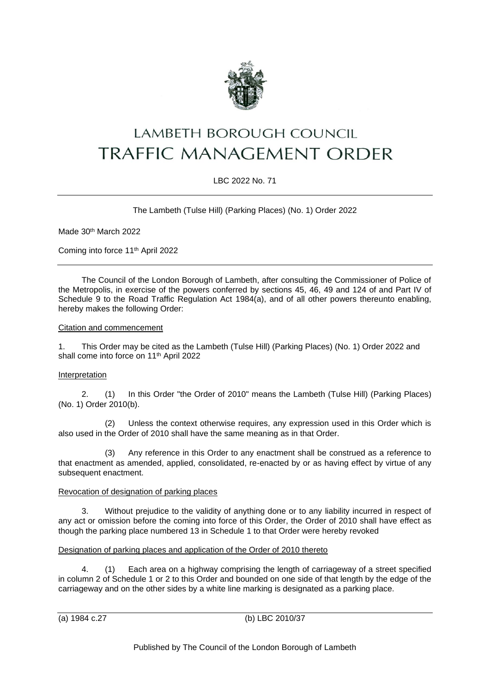

# LAMBETH BOROUGH COUNCIL TRAFFIC MANAGEMENT ORDER

## LBC 2022 No. 71

The Lambeth (Tulse Hill) (Parking Places) (No. 1) Order 2022

Made 30th March 2022

Coming into force 11th April 2022

The Council of the London Borough of Lambeth, after consulting the Commissioner of Police of the Metropolis, in exercise of the powers conferred by sections 45, 46, 49 and 124 of and Part IV of Schedule 9 to the Road Traffic Regulation Act 1984(a), and of all other powers thereunto enabling, hereby makes the following Order:

### Citation and commencement

1. This Order may be cited as the Lambeth (Tulse Hill) (Parking Places) (No. 1) Order 2022 and shall come into force on 11th April 2022

## Interpretation

2. (1) In this Order "the Order of 2010" means the Lambeth (Tulse Hill) (Parking Places) (No. 1) Order 2010(b).

(2) Unless the context otherwise requires, any expression used in this Order which is also used in the Order of 2010 shall have the same meaning as in that Order.

(3) Any reference in this Order to any enactment shall be construed as a reference to that enactment as amended, applied, consolidated, re-enacted by or as having effect by virtue of any subsequent enactment.

#### Revocation of designation of parking places

3. Without prejudice to the validity of anything done or to any liability incurred in respect of any act or omission before the coming into force of this Order, the Order of 2010 shall have effect as though the parking place numbered 13 in Schedule 1 to that Order were hereby revoked

## Designation of parking places and application of the Order of 2010 thereto

4. (1) Each area on a highway comprising the length of carriageway of a street specified in column 2 of Schedule 1 or 2 to this Order and bounded on one side of that length by the edge of the carriageway and on the other sides by a white line marking is designated as a parking place.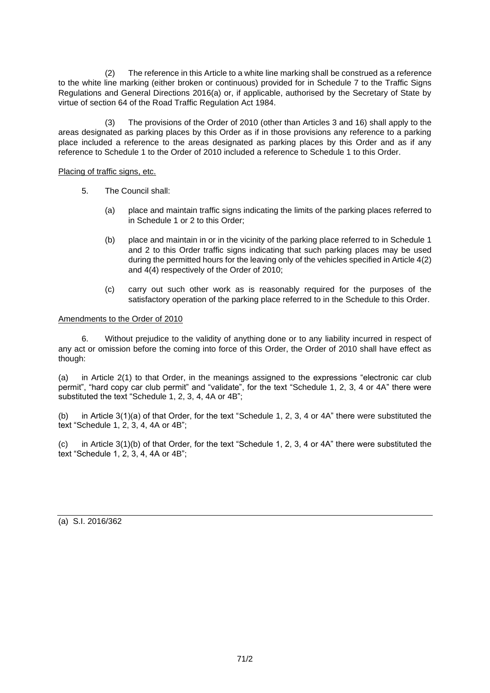(2) The reference in this Article to a white line marking shall be construed as a reference to the white line marking (either broken or continuous) provided for in Schedule 7 to the Traffic Signs Regulations and General Directions 2016(a) or, if applicable, authorised by the Secretary of State by virtue of section 64 of the Road Traffic Regulation Act 1984.

(3) The provisions of the Order of 2010 (other than Articles 3 and 16) shall apply to the areas designated as parking places by this Order as if in those provisions any reference to a parking place included a reference to the areas designated as parking places by this Order and as if any reference to Schedule 1 to the Order of 2010 included a reference to Schedule 1 to this Order.

### Placing of traffic signs, etc.

- 5. The Council shall:
	- (a) place and maintain traffic signs indicating the limits of the parking places referred to in Schedule 1 or 2 to this Order;
	- (b) place and maintain in or in the vicinity of the parking place referred to in Schedule 1 and 2 to this Order traffic signs indicating that such parking places may be used during the permitted hours for the leaving only of the vehicles specified in Article 4(2) and 4(4) respectively of the Order of 2010;
	- (c) carry out such other work as is reasonably required for the purposes of the satisfactory operation of the parking place referred to in the Schedule to this Order.

#### Amendments to the Order of 2010

6. Without prejudice to the validity of anything done or to any liability incurred in respect of any act or omission before the coming into force of this Order, the Order of 2010 shall have effect as though:

(a) in Article 2(1) to that Order, in the meanings assigned to the expressions "electronic car club permit", "hard copy car club permit" and "validate", for the text "Schedule 1, 2, 3, 4 or 4A" there were substituted the text "Schedule 1, 2, 3, 4, 4A or 4B";

(b) in Article 3(1)(a) of that Order, for the text "Schedule 1, 2, 3, 4 or 4A" there were substituted the text "Schedule 1, 2, 3, 4, 4A or 4B";

(c) in Article 3(1)(b) of that Order, for the text "Schedule 1, 2, 3, 4 or 4A" there were substituted the text "Schedule 1, 2, 3, 4, 4A or 4B";

(a) S.I. 2016/362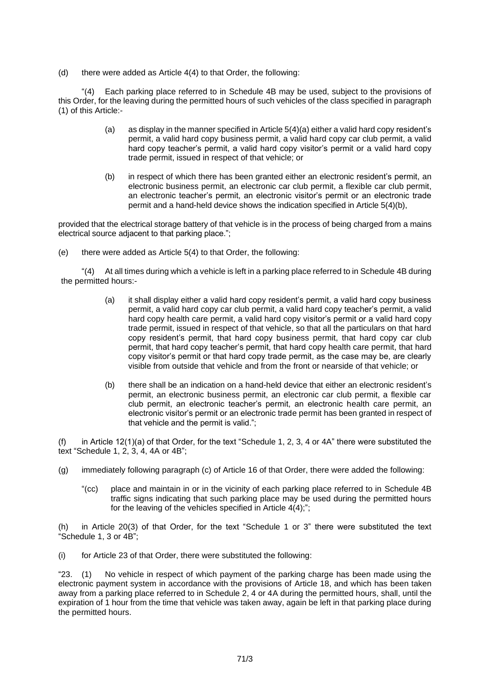(d) there were added as Article 4(4) to that Order, the following:

"(4) Each parking place referred to in Schedule 4B may be used, subject to the provisions of this Order, for the leaving during the permitted hours of such vehicles of the class specified in paragraph (1) of this Article:-

- (a) as display in the manner specified in Article 5(4)(a) either a valid hard copy resident's permit, a valid hard copy business permit, a valid hard copy car club permit, a valid hard copy teacher's permit, a valid hard copy visitor's permit or a valid hard copy trade permit, issued in respect of that vehicle; or
- (b) in respect of which there has been granted either an electronic resident's permit, an electronic business permit, an electronic car club permit, a flexible car club permit, an electronic teacher's permit, an electronic visitor's permit or an electronic trade permit and a hand-held device shows the indication specified in Article 5(4)(b),

provided that the electrical storage battery of that vehicle is in the process of being charged from a mains electrical source adjacent to that parking place.";

(e) there were added as Article 5(4) to that Order, the following:

"(4) At all times during which a vehicle is left in a parking place referred to in Schedule 4B during the permitted hours:-

- (a) it shall display either a valid hard copy resident's permit, a valid hard copy business permit, a valid hard copy car club permit, a valid hard copy teacher's permit, a valid hard copy health care permit, a valid hard copy visitor's permit or a valid hard copy trade permit, issued in respect of that vehicle, so that all the particulars on that hard copy resident's permit, that hard copy business permit, that hard copy car club permit, that hard copy teacher's permit, that hard copy health care permit, that hard copy visitor's permit or that hard copy trade permit, as the case may be, are clearly visible from outside that vehicle and from the front or nearside of that vehicle; or
- (b) there shall be an indication on a hand-held device that either an electronic resident's permit, an electronic business permit, an electronic car club permit, a flexible car club permit, an electronic teacher's permit, an electronic health care permit, an electronic visitor's permit or an electronic trade permit has been granted in respect of that vehicle and the permit is valid.";

(f) in Article 12(1)(a) of that Order, for the text "Schedule 1, 2, 3, 4 or 4A" there were substituted the text "Schedule 1, 2, 3, 4, 4A or 4B";

- (g) immediately following paragraph (c) of Article 16 of that Order, there were added the following:
	- "(cc) place and maintain in or in the vicinity of each parking place referred to in Schedule 4B traffic signs indicating that such parking place may be used during the permitted hours for the leaving of the vehicles specified in Article  $4(4)$ ;";

(h) in Article 20(3) of that Order, for the text "Schedule 1 or 3" there were substituted the text "Schedule 1, 3 or 4B";

(i) for Article 23 of that Order, there were substituted the following:

"23. (1) No vehicle in respect of which payment of the parking charge has been made using the electronic payment system in accordance with the provisions of Article 18, and which has been taken away from a parking place referred to in Schedule 2, 4 or 4A during the permitted hours, shall, until the expiration of 1 hour from the time that vehicle was taken away, again be left in that parking place during the permitted hours.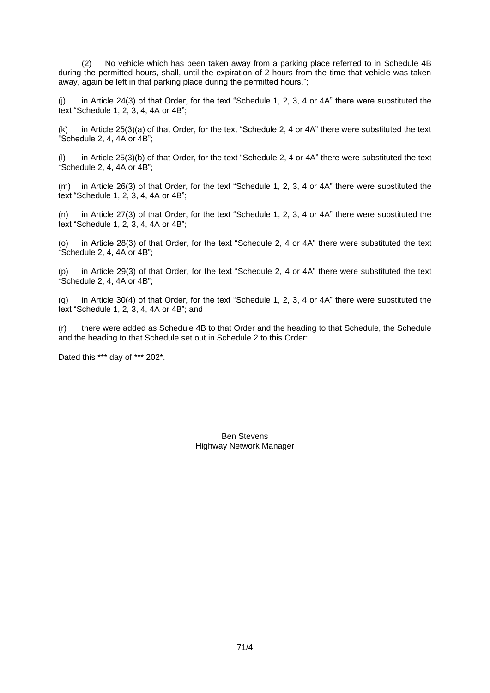(2) No vehicle which has been taken away from a parking place referred to in Schedule 4B during the permitted hours, shall, until the expiration of 2 hours from the time that vehicle was taken away, again be left in that parking place during the permitted hours.";

(j) in Article 24(3) of that Order, for the text "Schedule 1, 2, 3, 4 or 4A" there were substituted the text "Schedule 1, 2, 3, 4, 4A or 4B";

 $(k)$  in Article 25(3)(a) of that Order, for the text "Schedule 2, 4 or 4A" there were substituted the text "Schedule 2, 4, 4A or 4B";

(l) in Article 25(3)(b) of that Order, for the text "Schedule 2, 4 or 4A" there were substituted the text "Schedule 2, 4, 4A or 4B";

(m) in Article 26(3) of that Order, for the text "Schedule 1, 2, 3, 4 or 4A" there were substituted the text "Schedule 1, 2, 3, 4, 4A or 4B";

(n) in Article 27(3) of that Order, for the text "Schedule 1, 2, 3, 4 or 4A" there were substituted the text "Schedule 1, 2, 3, 4, 4A or 4B";

(o) in Article 28(3) of that Order, for the text "Schedule 2, 4 or 4A" there were substituted the text "Schedule 2, 4, 4A or 4B";

(p) in Article 29(3) of that Order, for the text "Schedule 2, 4 or 4A" there were substituted the text "Schedule 2, 4, 4A or 4B";

(q) in Article 30(4) of that Order, for the text "Schedule 1, 2, 3, 4 or 4A" there were substituted the text "Schedule 1, 2, 3, 4, 4A or 4B"; and

(r) there were added as Schedule 4B to that Order and the heading to that Schedule, the Schedule and the heading to that Schedule set out in Schedule 2 to this Order:

Dated this \*\*\* day of \*\*\* 202\*.

Ben Stevens Highway Network Manager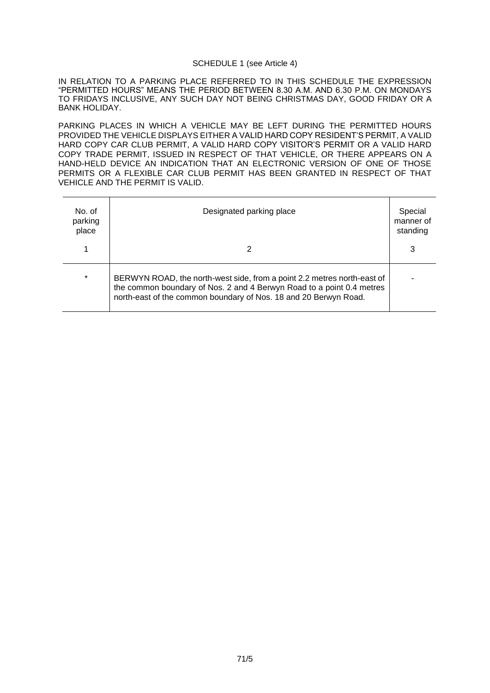#### SCHEDULE 1 (see Article 4)

IN RELATION TO A PARKING PLACE REFERRED TO IN THIS SCHEDULE THE EXPRESSION "PERMITTED HOURS" MEANS THE PERIOD BETWEEN 8.30 A.M. AND 6.30 P.M. ON MONDAYS TO FRIDAYS INCLUSIVE, ANY SUCH DAY NOT BEING CHRISTMAS DAY, GOOD FRIDAY OR A BANK HOLIDAY.

PARKING PLACES IN WHICH A VEHICLE MAY BE LEFT DURING THE PERMITTED HOURS PROVIDED THE VEHICLE DISPLAYS EITHER A VALID HARD COPY RESIDENT'S PERMIT, A VALID HARD COPY CAR CLUB PERMIT, A VALID HARD COPY VISITOR'S PERMIT OR A VALID HARD COPY TRADE PERMIT, ISSUED IN RESPECT OF THAT VEHICLE, OR THERE APPEARS ON A HAND-HELD DEVICE AN INDICATION THAT AN ELECTRONIC VERSION OF ONE OF THOSE PERMITS OR A FLEXIBLE CAR CLUB PERMIT HAS BEEN GRANTED IN RESPECT OF THAT VEHICLE AND THE PERMIT IS VALID.

| No. of<br>parking<br>place | Designated parking place                                                                                                                                                                                             | Special<br>manner of<br>standing |
|----------------------------|----------------------------------------------------------------------------------------------------------------------------------------------------------------------------------------------------------------------|----------------------------------|
|                            |                                                                                                                                                                                                                      | 3                                |
| $\star$                    | BERWYN ROAD, the north-west side, from a point 2.2 metres north-east of<br>the common boundary of Nos. 2 and 4 Berwyn Road to a point 0.4 metres<br>north-east of the common boundary of Nos. 18 and 20 Berwyn Road. |                                  |